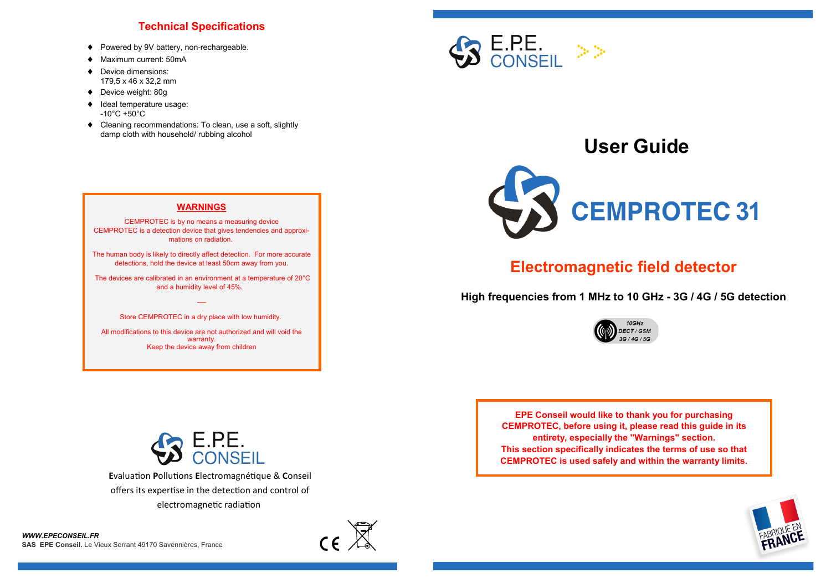## **Technical Specifications**

- ♦ Powered by 9V battery, non-rechargeable.
- ◆ Maximum current: 50mA
- Device dimensions: 179,5 x 46 x 32,2 mm
- ◆ Device weight: 80g
- $\bullet$  Ideal temperature usage:  $-10^{\circ}$ C +50 $^{\circ}$ C
- Cleaning recommendations: To clean, use a soft, slightly damp cloth with household/ rubbing alcohol



CEMPROTEC is by no means a measuring device CEMPROTEC is a detection device that gives tendencies and approximations on radiation.

The human body is likely to directly affect detection. For more accurate detections, hold the device at least 50cm away from you.

The devices are calibrated in an environment at a temperature of 20°C and a humidity level of 45%.

> -— Store CEMPROTEC in a dry place with low humidity.

All modifications to this device are not authorized and will void the warranty. Keep the device away from children



# **User Guide**



## **Electromagnetic field detector**

**High frequencies from 1 MHz to 10 GHz - 3G / 4G / 5G detection**



**EPE Conseil would like to thank you for purchasing CEMPROTEC, before using it, please read this guide in its entirety, especially the "Warnings" section. This section specifically indicates the terms of use so that CEMPROTEC is used safely and within the warranty limits.**





**E**valuation **P**ollutions **E**lectromagnétique & **C**onseil offers its expertise in the detection and control of electromagnetic radiation

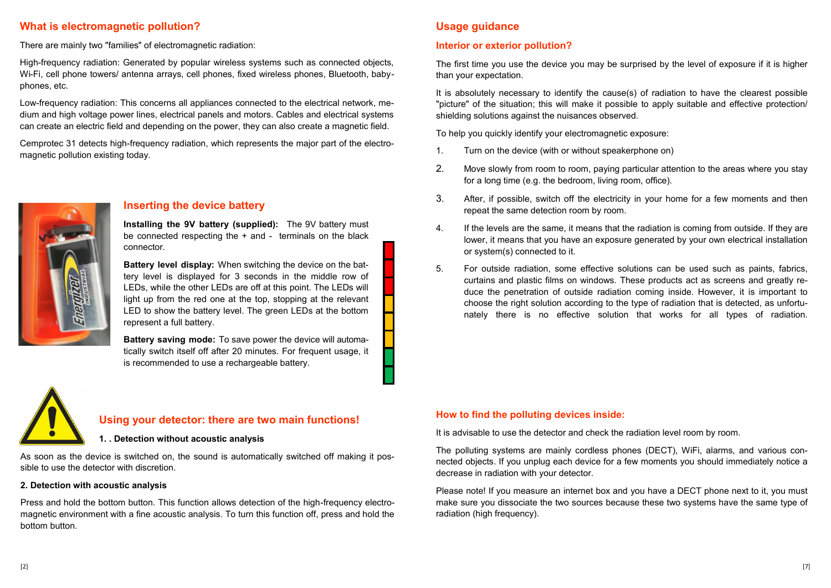## **What is electromagnetic pollution?**

There are mainly two "families" of electromagnetic radiation:

High-frequency radiation: Generated by popular wireless systems such as connected objects, Wi-Fi, cell phone towers/ antenna arrays, cell phones, fixed wireless phones, Bluetooth, babyphones, etc.

Low-frequency radiation: This concerns all appliances connected to the electrical network, medium and high voltage power lines, electrical panels and motors. Cables and electrical systems can create an electric field and depending on the power, they can also create a magnetic field.

Cemprotec 31 detects high-frequency radiation, which represents the major part of the electromagnetic pollution existing today.



#### **Inserting the device battery**

**Installing the 9V battery (supplied):** The 9V battery must be connected respecting the + and - terminals on the black connector.

**Battery level display:** When switching the device on the battery level is displayed for 3 seconds in the middle row of LEDs, while the other LEDs are off at this point. The LEDs will light up from the red one at the top, stopping at the relevant LED to show the battery level. The green LEDs at the bottom represent a full battery.

**Battery saving mode:** To save power the device will automatically switch itself off after 20 minutes. For frequent usage, it is recommended to use a rechargeable battery.

## **Usage guidance**

#### **Interior or exterior pollution?**

The first time you use the device you may be surprised by the level of exposure if it is higher than your expectation.

It is absolutely necessary to identify the cause(s) of radiation to have the clearest possible "picture" of the situation; this will make it possible to apply suitable and effective protection/ shielding solutions against the nuisances observed.

To help you quickly identify your electromagnetic exposure:

- 1. Turn on the device (with or without speakerphone on)
- 2. Move slowly from room to room, paying particular attention to the areas where you stay for a long time (e.g. the bedroom, living room, office).
- 3. After, if possible, switch off the electricity in your home for a few moments and then repeat the same detection room by room.
- 4. If the levels are the same, it means that the radiation is coming from outside. If they are lower, it means that you have an exposure generated by your own electrical installation or system(s) connected to it.
- 5. For outside radiation, some effective solutions can be used such as paints, fabrics, curtains and plastic films on windows. These products act as screens and greatly reduce the penetration of outside radiation coming inside. However, it is important to choose the right solution according to the type of radiation that is detected, as unfortunately there is no effective solution that works for all types of radiation.



#### **Using your detector: there are two main functions!**

#### **1. . Detection without acoustic analysis**

As soon as the device is switched on, the sound is automatically switched off making it possible to use the detector with discretion.

#### **2. Detection with acoustic analysis**

Press and hold the bottom button. This function allows detection of the high-frequency electromagnetic environment with a fine acoustic analysis. To turn this function off, press and hold the bottom button.

#### **How to find the polluting devices inside:**

It is advisable to use the detector and check the radiation level room by room.

The polluting systems are mainly cordless phones (DECT), WiFi, alarms, and various connected objects. If you unplug each device for a few moments you should immediately notice a decrease in radiation with your detector.

Please note! If you measure an internet box and you have a DECT phone next to it, you must make sure you dissociate the two sources because these two systems have the same type of radiation (high frequency).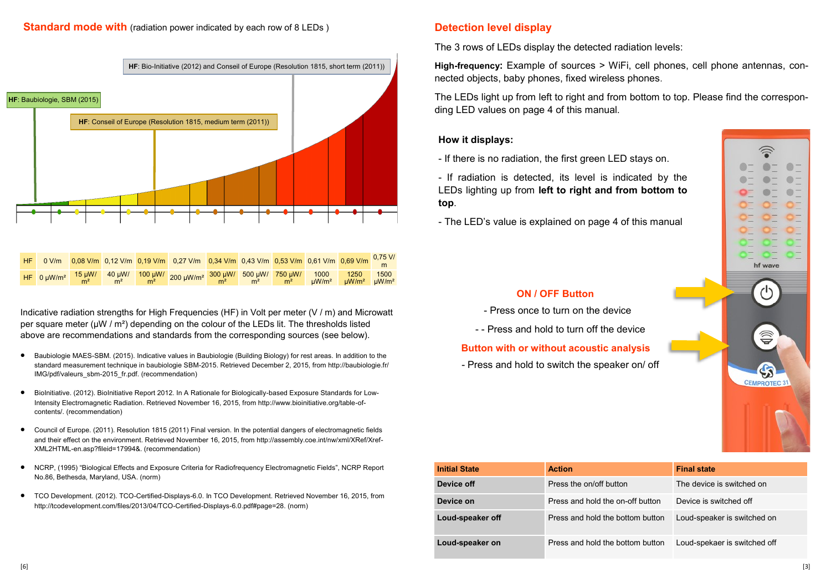

| HF. |  |  | 0 V/m <mark>0,08 V/m 0,12 V/m 0,19 V/m 0,27 V/m 0,34 V/m 0,43 V/m 0,53 V/m 0,61 V/m 0,69 V/m <sup>0,75 V/</sup>m</mark> |  |  |  |
|-----|--|--|-------------------------------------------------------------------------------------------------------------------------|--|--|--|
|     |  |  |                                                                                                                         |  |  |  |

Indicative radiation strengths for High Frequencies (HF) in Volt per meter (V / m) and Microwatt per square meter ( $\mu$ W / m<sup>2</sup>) depending on the colour of the LEDs lit. The thresholds listed above are recommendations and standards from the corresponding sources (see below).

- Baubiologie MAES-SBM. (2015). Indicative values in Baubiologie (Building Biology) for rest areas. In addition to the standard measurement technique in baubiologie SBM-2015. Retrieved December 2, 2015, from http://baubiologie.fr/ IMG/pdf/valeurs\_sbm-2015\_fr.pdf. (recommendation)
- BioInitiative. (2012). BioInitiative Report 2012. In A Rationale for Biologically-based Exposure Standards for Low-Intensity Electromagnetic Radiation. Retrieved November 16, 2015, from http://www.bioinitiative.org/table-ofcontents/. (recommendation)
- Council of Europe. (2011). Resolution 1815 (2011) Final version. In the potential dangers of electromagnetic fields and their effect on the environment. Retrieved November 16, 2015, from http://assembly.coe.int/nw/xml/XRef/Xref-XML2HTML-en.asp?fileid=17994&. (recommendation)
- NCRP, (1995) "Biological Effects and Exposure Criteria for Radiofrequency Electromagnetic Fields", NCRP Report No.86, Bethesda, Maryland, USA. (norm)
- TCO Development. (2012). TCO-Certified-Displays-6.0. In TCO Development. Retrieved November 16, 2015, from http://tcodevelopment.com/files/2013/04/TCO-Certified-Displays-6.0.pdf#page=28. (norm)

## **Detection level display**

The 3 rows of LEDs display the detected radiation levels:

**High-frequency:** Example of sources > WiFi, cell phones, cell phone antennas, connected objects, baby phones, fixed wireless phones.

The LEDs light up from left to right and from bottom to top. Please find the corresponding LED values on page 4 of this manual.

## **How it displays:**

- If there is no radiation, the first green LED stays on.

- If radiation is detected, its level is indicated by the LEDs lighting up from **left to right and from bottom to top**.

- The LED's value is explained on page 4 of this manual



- Press once to turn on the device

- - Press and hold to turn off the device

#### **Button with or without acoustic analysis**

- Press and hold to switch the speaker on/ off



| <b>Initial State</b> | <b>Action</b>                    | <b>Final state</b>           |  |  |  |  |
|----------------------|----------------------------------|------------------------------|--|--|--|--|
| Device off           | Press the on/off button          | The device is switched on    |  |  |  |  |
| Device on            | Press and hold the on-off button | Device is switched off       |  |  |  |  |
| Loud-speaker off     | Press and hold the bottom button | Loud-speaker is switched on  |  |  |  |  |
| Loud-speaker on      | Press and hold the bottom button | Loud-spekaer is switched off |  |  |  |  |